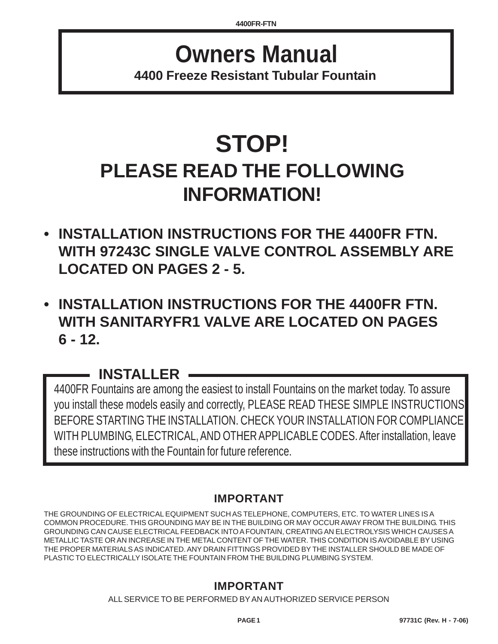## **Owners Manual 4400 Freeze Resistant Tubular Fountain**

# **STOP! PLEASE READ THE FOLLOWING INFORMATION!**

- **INSTALLATION INSTRUCTIONS FOR THE 4400FR FTN. WITH 97243C SINGLE VALVE CONTROL ASSEMBLY ARE LOCATED ON PAGES 2 - 5.**
- **INSTALLATION INSTRUCTIONS FOR THE 4400FR FTN. WITH SANITARYFR1 VALVE ARE LOCATED ON PAGES 6 - 12.**

## **INSTALLER**

4400FR Fountains are among the easiest to install Fountains on the market today. To assure you install these models easily and correctly, PLEASE READ THESE SIMPLE INSTRUCTIONS BEFORE STARTING THE INSTALLATION. CHECK YOUR INSTALLATION FOR COMPLIANCE WITH PLUMBING, ELECTRICAL, AND OTHER APPLICABLE CODES. After installation, leave these instructions with the Fountain for future reference.

## **IMPORTANT**

THE GROUNDING OF ELECTRICAL EQUIPMENT SUCH AS TELEPHONE, COMPUTERS, ETC. TO WATER LINES IS A COMMON PROCEDURE. THIS GROUNDING MAY BE IN THE BUILDING OR MAY OCCUR AWAY FROM THE BUILDING. THIS GROUNDING CAN CAUSE ELECTRICAL FEEDBACK INTO A FOUNTAIN, CREATING AN ELECTROLYSIS WHICH CAUSES A METALLIC TASTE OR AN INCREASE IN THE METAL CONTENT OF THE WATER. THIS CONDITION IS AVOIDABLE BY USING THE PROPER MATERIALS AS INDICATED. ANY DRAIN FITTINGS PROVIDED BY THE INSTALLER SHOULD BE MADE OF PLASTIC TO ELECTRICALLY ISOLATE THE FOUNTAIN FROM THE BUILDING PLUMBING SYSTEM.

## **IMPORTANT**

ALL SERVICE TO BE PERFORMED BY AN AUTHORIZED SERVICE PERSON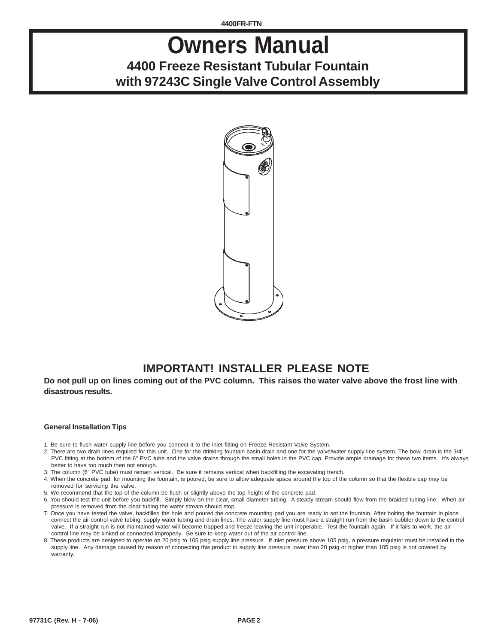**4400FR-FTN**

## **Owners Manual 4400 Freeze Resistant Tubular Fountain with 97243C Single Valve Control Assembly**



## **IMPORTANT! INSTALLER PLEASE NOTE**

**Do not pull up on lines coming out of the PVC column. This raises the water valve above the frost line with disastrous results.**

### **General Installation Tips**

- 1. Be sure to flush water supply line before you connect it to the inlet fitting on Freeze Resistant Valve System.
- 2. There are two drain lines required for this unit. One for the drinking fountain basin drain and one for the valve/water supply line system. The bowl drain is the 3/4" PVC fitting at the bottom of the 6" PVC tube and the valve drains through the small holes in the PVC cap. Provide ample drainage for these two items. It's always better to have too much then not enough.
- 3. The column (6" PVC tube) must remain vertical. Be sure it remains vertical when backfilling the excavating trench.
- 4. When the concrete pad, for mounting the fountain, is poured, be sure to allow adequate space around the top of the column so that the flexible cap may be removed for servicing the valve.
- 5. We recommend that the top of the column be flush or slightly above the top height of the concrete pad.
- 6. You should test the unit before you backfill. Simply blow on the clear, small diameter tubing. A steady stream should flow from the braided tubing line. When air pressure is removed from the clear tubing the water stream should stop.
- 7. Once you have tested the valve, backfilled the hole and poured the concrete mounting pad you are ready to set the fountain. After bolting the fountain in place connect the air control valve tubing, supply water tubing and drain lines. The water supply line must have a straight run from the basin bubbler down to the control valve. If a straight run is not maintained water will become trapped and freeze leaving the unit inoperable. Test the fountain again. If it fails to work, the air control line may be kinked or connected improperly. Be sure to keep water out of the air control line.
- 8. These products are designed to operate on 20 psig to 105 psig supply line pressure. If inlet pressure above 105 psig, a pressure regulator must be installed in the supply line. Any damage caused by reason of connecting this product to supply line pressure lower than 20 psig or higher than 105 psig is not covered by warranty.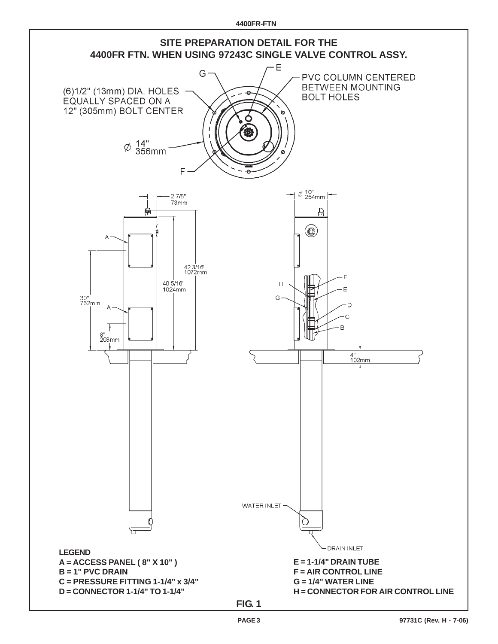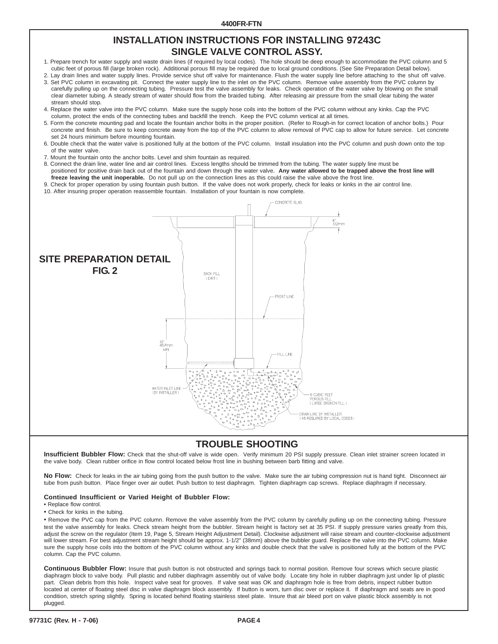### **INSTALLATION INSTRUCTIONS FOR INSTALLING 97243C SINGLE VALVE CONTROL ASSY.**

- 1. Prepare trench for water supply and waste drain lines (if required by local codes). The hole should be deep enough to accommodate the PVC column and 5 cubic feet of porous fill (large broken rock). Additional porous fill may be required due to local ground conditions. (See Site Preparation Detail below).
- 2. Lay drain lines and water supply lines. Provide service shut off valve for maintenance. Flush the water supply line before attaching to the shut off valve. 3. Set PVC column in excavating pit. Connect the water supply line to the inlet on the PVC column. Remove valve assembly from the PVC column by carefully pulling up on the connecting tubing. Pressure test the valve assembly for leaks. Check operation of the water valve by blowing on the small clear diameter tubing. A steady stream of water should flow from the braided tubing. After releasing air pressure from the small clear tubing the water stream should stop.
- 4. Replace the water valve into the PVC column. Make sure the supply hose coils into the bottom of the PVC column without any kinks. Cap the PVC column, protect the ends of the connecting tubes and backfill the trench. Keep the PVC column vertical at all times.
- 5. Form the concrete mounting pad and locate the fountain anchor bolts in the proper position. (Refer to Rough-in for correct location of anchor bolts.) Pour concrete and finish. Be sure to keep concrete away from the top of the PVC column to allow removal of PVC cap to allow for future service. Let concrete set 24 hours minimum before mounting fountain.
- 6. Double check that the water valve is positioned fully at the bottom of the PVC column. Install insulation into the PVC column and push down onto the top of the water valve.
- 7. Mount the fountain onto the anchor bolts. Level and shim fountain as required.
- 8. Connect the drain line, water line and air control lines. Excess lengths should be trimmed from the tubing. The water supply line must be positioned for positive drain back out of the fountain and down through the water valve. **Any water allowed to be trapped above the frost line will freeze leaving the unit inoperable.** Do not pull up on the connection lines as this could raise the valve above the frost line.
- 9. Check for proper operation by using fountain push button. If the valve does not work properly, check for leaks or kinks in the air control line.
- 10. After insuring proper operation reassemble fountain. Installation of your fountain is now complete.



## **TROUBLE SHOOTING**

**Insufficient Bubbler Flow:** Check that the shut-off valve is wide open. Verify minimum 20 PSI supply pressure. Clean inlet strainer screen located in the valve body. Clean rubber orifice in flow control located below frost line in bushing between barb fitting and valve.

**No Flow:** Check for leaks in the air tubing going from the push button to the valve. Make sure the air tubing compression nut is hand tight. Disconnect air tube from push button. Place finger over air outlet. Push button to test diaphragm. Tighten diaphragm cap screws. Replace diaphragm if necessary.

#### **Continued Insufficient or Varied Height of Bubbler Flow:**

- **•** Replace flow control.
- Check for kinks in the tubing.

• Remove the PVC cap from the PVC column. Remove the valve assembly from the PVC column by carefully pulling up on the connecting tubing. Pressure test the valve assembly for leaks. Check stream height from the bubbler. Stream height is factory set at 35 PSI. If supply pressure varies greatly from this, adjust the screw on the regulator (Item 19, Page 5, Stream Height Adjustment Detail). Clockwise adjustment will raise stream and counter-clockwise adjustment will lower stream. For best adjustment stream height should be approx. 1-1/2" (38mm) above the bubbler guard. Replace the valve into the PVC column. Make sure the supply hose coils into the bottom of the PVC column without any kinks and double check that the valve is positioned fully at the bottom of the PVC column. Cap the PVC column.

**Continuous Bubbler Flow:** Insure that push button is not obstructed and springs back to normal position. Remove four screws which secure plastic diaphragm block to valve body. Pull plastic and rubber diaphragm assembly out of valve body. Locate tiny hole in rubber diaphragm just under lip of plastic part. Clean debris from this hole. Inspect valve seat for grooves. If valve seat was OK and diaphragm hole is free from debris, inspect rubber button located at center of floating steel disc in valve diaphragm block assembly. If button is worn, turn disc over or replace it. If diaphragm and seats are in good condition, stretch spring slightly. Spring is located behind floating stainless steel plate. Insure that air bleed port on valve plastic block assembly is not plugged.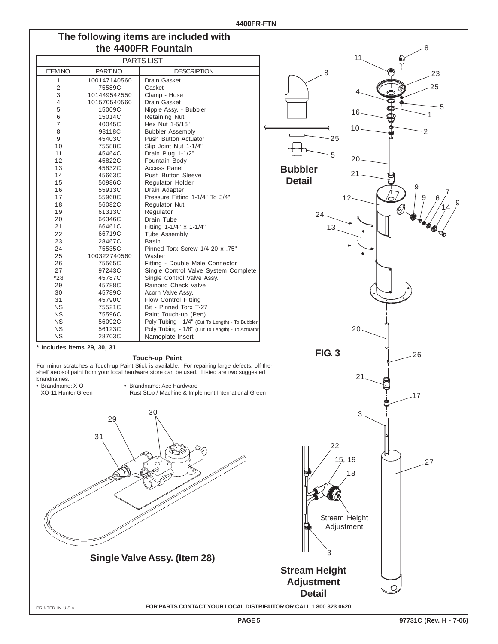## **The following items are included with the 4400FR Fountain**

| PARTS LIST     |              |                                                  |
|----------------|--------------|--------------------------------------------------|
| <b>ITEMNO.</b> | PART NO.     | <b>DESCRIPTION</b>                               |
| $\mathbf{1}$   | 100147140560 | Drain Gasket                                     |
| $\overline{2}$ | 75589C       | Gasket                                           |
| 3              | 101449542550 | Clamp - Hose                                     |
| 4              | 101570540560 | Drain Gasket                                     |
| 5              | 15009C       | Nipple Assy. - Bubbler                           |
| 6              | 15014C       | <b>Retaining Nut</b>                             |
| $\overline{7}$ | 40045C       | Hex Nut 1-5/16"                                  |
| 8              | 98118C       | <b>Bubbler Assembly</b>                          |
| 9              | 45403C       | Push Button Actuator                             |
| 10             | 75588C       | Slip Joint Nut 1-1/4"                            |
| 11             | 45464C       | Drain Plug 1-1/2"                                |
| 12             | 45822C       | Fountain Body                                    |
| 13             | 45832C       | <b>Access Panel</b>                              |
| 14             | 45663C       | Push Button Sleeve                               |
| 15             | 50986C       | Regulator Holder                                 |
| 16             | 55913C       | Drain Adapter                                    |
| 17             | 55960C       | Pressure Fitting 1-1/4" To 3/4"                  |
| 18             | 56082C       | Regulator Nut                                    |
| 19             | 61313C       | Regulator                                        |
| 20             | 66346C       | Drain Tube                                       |
| 21             | 66461C       | Fitting 1-1/4" x 1-1/4"                          |
| 22             | 66719C       | <b>Tube Assembly</b>                             |
| 23             | 28467C       | <b>Basin</b>                                     |
| 24             | 75535C       | Pinned Torx Screw 1/4-20 x .75"                  |
| 25             | 100322740560 | Washer                                           |
| 26             | 75565C       | Fitting - Double Male Connector                  |
| 27             | 97243C       | Single Control Valve System Complete             |
| *28            | 45787C       | Single Control Valve Assy.                       |
| 29             | 45788C       | Rainbird Check Valve                             |
| 30             | 45789C       | Acorn Valve Assy.                                |
| 31             | 45790C       | <b>Flow Control Fitting</b>                      |
| <b>NS</b>      | 75521C       | Bit - Pinned Torx T-27                           |
| <b>NS</b>      | 75596C       | Paint Touch-up (Pen)                             |
| <b>NS</b>      | 56092C       | Poly Tubing - 1/4" (Cut To Length) - To Bubbler  |
| <b>NS</b>      | 56123C       | Poly Tubing - 1/8" (Cut To Length) - To Actuator |
| <b>NS</b>      | 28703C       | Nameplate Insert                                 |

**\* Includes items 29, 30, 31**

#### **Touch-up Paint**

For minor scratches a Touch-up Paint Stick is available. For repairing large defects, off-theshelf aerosol paint from your local hardware store can be used. Listed are two suggested

brandnames.<br>• Brandname: X-O

• Brandname: X-O • Brandname: Ace Hardware Rust Stop / Machine & Implement International Green





**FOR PARTS CONTACT YOUR LOCAL DISTRIBUTOR OR CALL 1.800.323.0620**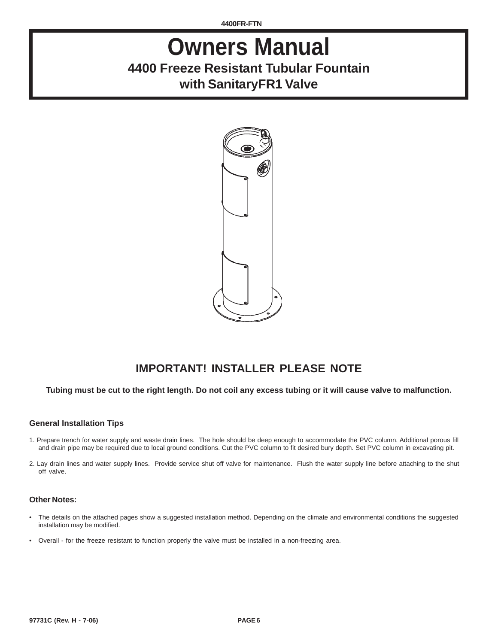**4400FR-FTN**

## **Owners Manual 4400 Freeze Resistant Tubular Fountain with SanitaryFR1 Valve**



## **IMPORTANT! INSTALLER PLEASE NOTE**

### **Tubing must be cut to the right length. Do not coil any excess tubing or it will cause valve to malfunction.**

### **General Installation Tips**

- 1. Prepare trench for water supply and waste drain lines. The hole should be deep enough to accommodate the PVC column. Additional porous fill and drain pipe may be required due to local ground conditions. Cut the PVC column to fit desired bury depth. Set PVC column in excavating pit.
- 2. Lay drain lines and water supply lines. Provide service shut off valve for maintenance. Flush the water supply line before attaching to the shut off valve.

#### **Other Notes:**

- The details on the attached pages show a suggested installation method. Depending on the climate and environmental conditions the suggested installation may be modified.
- Overall for the freeze resistant to function properly the valve must be installed in a non-freezing area.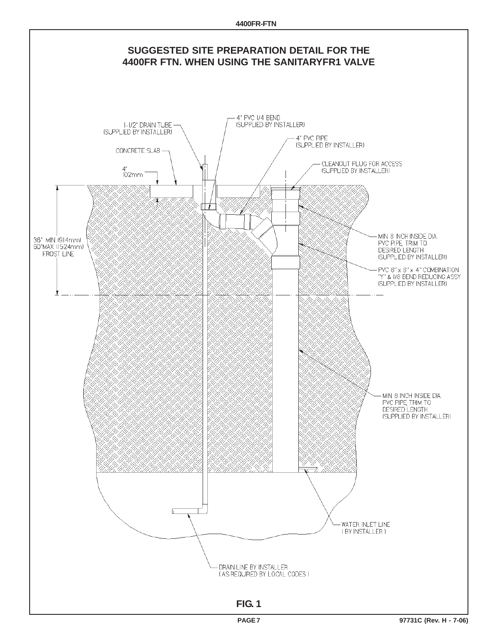**4400FR-FTN**

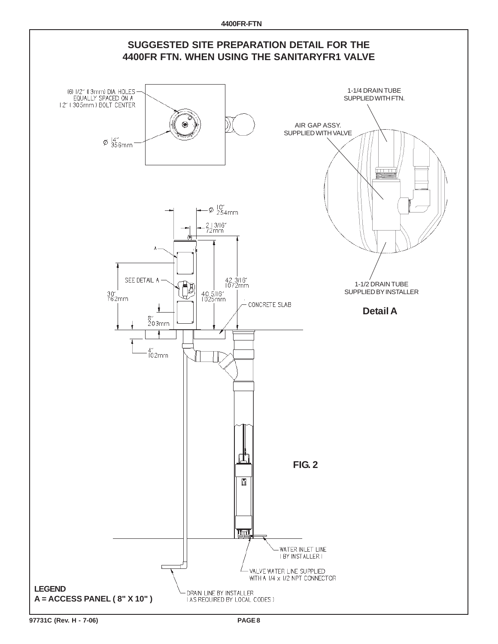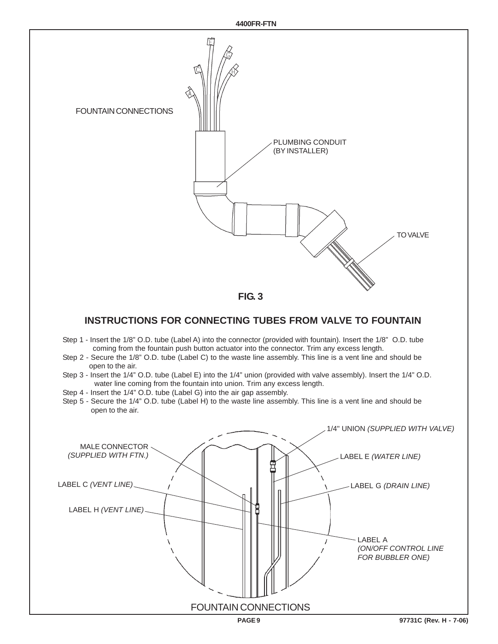

### **INSTRUCTIONS FOR CONNECTING TUBES FROM VALVE TO FOUNTAIN**

- Step 1 Insert the 1/8" O.D. tube (Label A) into the connector (provided with fountain). Insert the 1/8" O.D. tube coming from the fountain push button actuator into the connector. Trim any excess length.
- Step 2 Secure the 1/8" O.D. tube (Label C) to the waste line assembly. This line is a vent line and should be open to the air.
- Step 3 Insert the 1/4" O.D. tube (Label E) into the 1/4" union (provided with valve assembly). Insert the 1/4" O.D. water line coming from the fountain into union. Trim any excess length.
- Step 4 Insert the 1/4" O.D. tube (Label G) into the air gap assembly.
- Step 5 Secure the 1/4" O.D. tube (Label H) to the waste line assembly. This line is a vent line and should be open to the air.

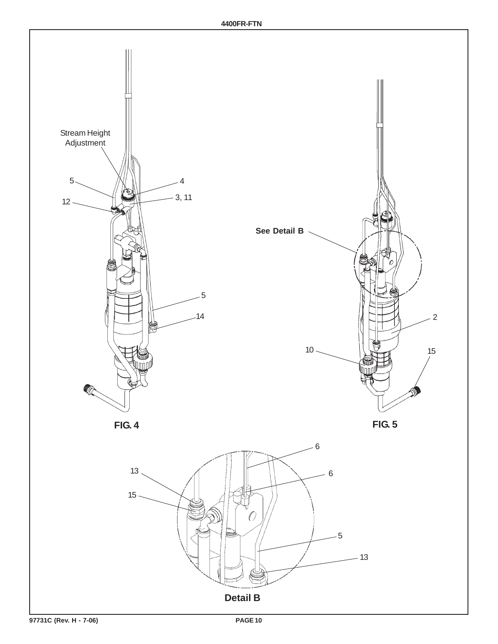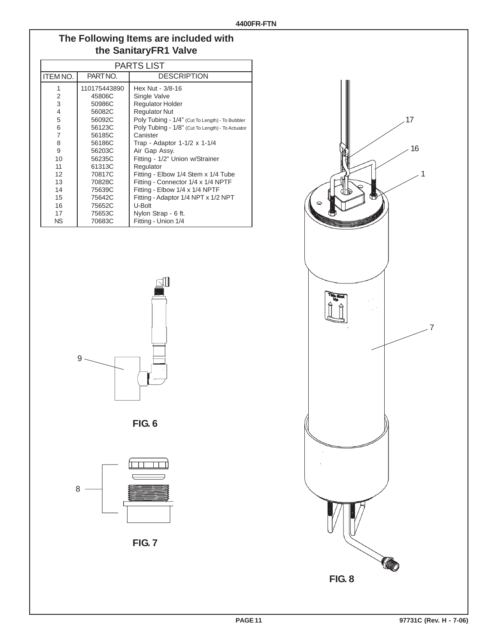## **The Following Items are included with the SanitaryFR1 Valve**

|                | <b>PARTS LIST</b> |                                                  |  |
|----------------|-------------------|--------------------------------------------------|--|
| ITEM NO.       | PARTNO.           | <b>DESCRIPTION</b>                               |  |
| 1              | 110175443890      | Hex Nut - 3/8-16                                 |  |
| 2              | 45806C            | Single Valve                                     |  |
| 3              | 50986C            | <b>Regulator Holder</b>                          |  |
| $\overline{4}$ | 56082C            | <b>Regulator Nut</b>                             |  |
| 5              | 56092C            | Poly Tubing - 1/4" (Cut To Length) - To Bubbler  |  |
| 6              | 56123C            | Poly Tubing - 1/8" (Cut To Length) - To Actuator |  |
| $\overline{7}$ | 56185C            | Canister                                         |  |
| 8              | 56186C            | Trap - Adaptor 1-1/2 x 1-1/4                     |  |
| 9              | 56203C            | Air Gap Assy.                                    |  |
| 10             | 56235C            | Fitting - 1/2" Union w/Strainer                  |  |
| 11             | 61313C            | Regulator                                        |  |
| 12             | 70817C            | Fitting - Elbow 1/4 Stem x 1/4 Tube              |  |
| 13             | 70828C            | Fitting - Connector 1/4 x 1/4 NPTF               |  |
| 14             | 75639C            | Fitting - Elbow 1/4 x 1/4 NPTF                   |  |
| 15             | 75642C            | Fitting - Adaptor 1/4 NPT x 1/2 NPT              |  |
| 16             | 75652C            | U-Bolt                                           |  |
| 17             | 75653C            | Nylon Strap - 6 ft.                              |  |
| ΝS             | 70683C            | Fitting - Union 1/4                              |  |



**FIG. 6**